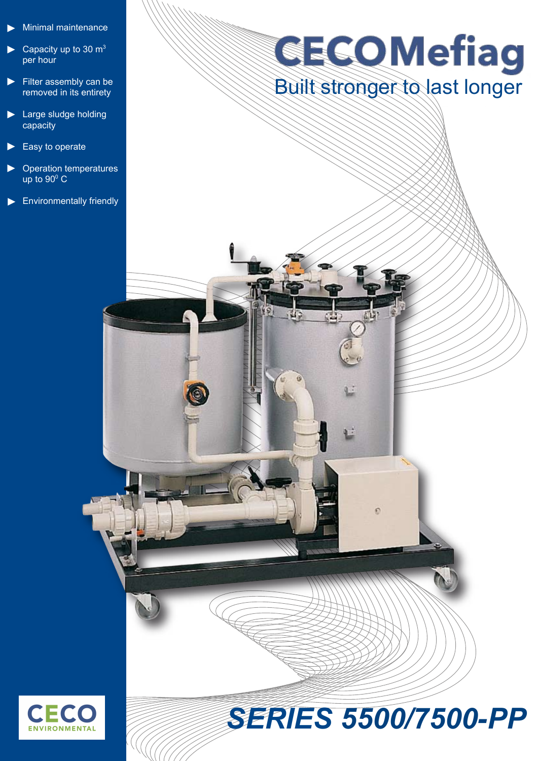- Minimal maintenance ►
- Capacity up to 30  $m<sup>3</sup>$ per hour ►
- Filter assembly can be removed in its entirety ►
- ► Large sludge holding capacity
- Easy to operate ►
- Operation temperatures up to  $90^{\circ}$  C ►
- ► Environmentally friendly

# **GECOMefiag** Built stronger to last longer



## *SERIES 5500/7500-PP*

 $\circ$